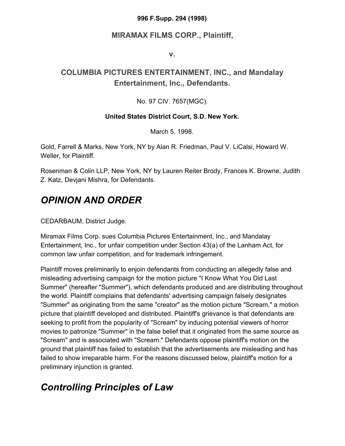### **996 F.Supp. 294 (1998)**

### **MIRAMAX FILMS CORP., Plaintiff,**

**v.**

### **COLUMBIA PICTURES ENTERTAINMENT, INC., and Mandalay Entertainment, Inc., Defendants.**

### No. 97 CIV. 7657(MGC).

### **United States District Court, S.D. New York.**

March 5, 1998.

Gold, Farrell & Marks, New York, NY by Alan R. Friedman, Paul V. LiCalsi, Howard W. Weller, for Plaintiff.

Rosenman & Colin LLP, New York, NY by Lauren Reiter Brody, Frances K. Browne, Judith Z. Katz, Devjani Mishra, for Defendants.

# *OPINION AND ORDER*

CEDARBAUM, District Judge.

Miramax Films Corp. sues Columbia Pictures Entertainment, Inc., and Mandalay Entertainment, Inc., for unfair competition under Section 43(a) of the Lanham Act, for common law unfair competition, and for trademark infringement.

Plaintiff moves preliminarily to enjoin defendants from conducting an allegedly false and misleading advertising campaign for the motion picture "I Know What You Did Last Summer" (hereafter "Summer"), which defendants produced and are distributing throughout the world. Plaintiff complains that defendants' advertising campaign falsely designates "Summer" as originating from the same "creator" as the motion picture "Scream," a motion picture that plaintiff developed and distributed. Plaintiff's grievance is that defendants are seeking to profit from the popularity of "Scream" by inducing potential viewers of horror movies to patronize "Summer" in the false belief that it originated from the same source as "Scream" and is associated with "Scream." Defendants oppose plaintiff's motion on the ground that plaintiff has failed to establish that the advertisements are misleading and has failed to show irreparable harm. For the reasons discussed below, plaintiff's motion for a preliminary injunction is granted.

# *Controlling Principles of Law*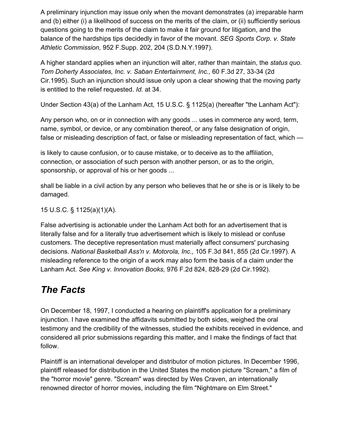A preliminary injunction may issue only when the movant demonstrates (a) irreparable harm and (b) either (i) a likelihood of success on the merits of the claim, or (ii) sufficiently serious questions going to the merits of the claim to make it fair ground for litigation, and the balance of the hardships tips decidedly in favor of the movant. *SEG Sports Corp. v. State Athletic Commission,* 952 F.Supp. 202, 204 (S.D.N.Y.1997).

A higher standard applies when an injunction will alter, rather than maintain, the *status quo. Tom Doherty Associates, Inc. v. Saban Entertainment, Inc.,* 60 F.3d 27, 33-34 (2d Cir.1995). Such an injunction should issue only upon a clear showing that the moving party is entitled to the relief requested. *Id.* at 34.

Under Section 43(a) of the Lanham Act, 15 U.S.C. § 1125(a) (hereafter "the Lanham Act"):

Any person who, on or in connection with any goods ... uses in commerce any word, term, name, symbol, or device, or any combination thereof, or any false designation of origin, false or misleading description of fact, or false or misleading representation of fact, which —

is likely to cause confusion, or to cause mistake, or to deceive as to the affiliation, connection, or association of such person with another person, or as to the origin, sponsorship, or approval of his or her goods ...

shall be liable in a civil action by any person who believes that he or she is or is likely to be damaged.

15 U.S.C. § 1125(a)(1)(A).

False advertising is actionable under the Lanham Act both for an advertisement that is literally false and for a literally true advertisement which is likely to mislead or confuse customers. The deceptive representation must materially affect consumers' purchasing decisions. *National Basketball Ass'n v. Motorola, Inc.,* 105 F.3d 841, 855 (2d Cir.1997). A misleading reference to the origin of a work may also form the basis of a claim under the Lanham Act. *See King v. Innovation Books,* 976 F.2d 824, 828-29 (2d Cir.1992).

# *The Facts*

On December 18, 1997, I conducted a hearing on plaintiff's application for a preliminary injunction. I have examined the affidavits submitted by both sides, weighed the oral testimony and the credibility of the witnesses, studied the exhibits received in evidence, and considered all prior submissions regarding this matter, and I make the findings of fact that follow.

Plaintiff is an international developer and distributor of motion pictures. In December 1996, plaintiff released for distribution in the United States the motion picture "Scream," a film of the "horror movie" genre. "Scream" was directed by Wes Craven, an internationally renowned director of horror movies, including the film "Nightmare on Elm Street."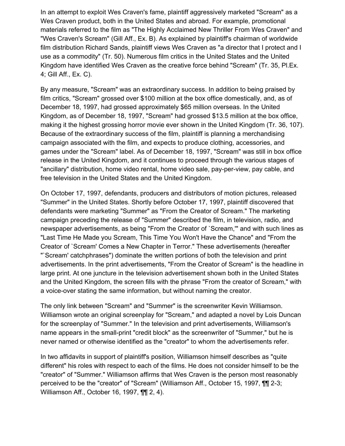In an attempt to exploit Wes Craven's fame, plaintiff aggressively marketed "Scream" as a Wes Craven product, both in the United States and abroad. For example, promotional materials referred to the film as "The Highly Acclaimed New Thriller From Wes Craven" and "Wes Craven's Scream" (Gill Aff., Ex. B). As explained by plaintiff's chairman of worldwide film distribution Richard Sands, plaintiff views Wes Craven as "a director that I protect and I use as a commodity" (Tr. 50). Numerous film critics in the United States and the United Kingdom have identified Wes Craven as the creative force behind "Scream" (Tr. 35, Pl.Ex. 4; Gill Aff., Ex. C).

By any measure, "Scream" was an extraordinary success. In addition to being praised by film critics, "Scream" grossed over \$100 million at the box office domestically, and, as of December 18, 1997, had grossed approximately \$65 million overseas. In the United Kingdom, as of December 18, 1997, "Scream" had grossed \$13.5 million at the box office, making it the highest grossing horror movie ever shown in the United Kingdom (Tr. 36, 107). Because of the extraordinary success of the film, plaintiff is planning a merchandising campaign associated with the film, and expects to produce clothing, accessories, and games under the "Scream" label. As of December 18, 1997, "Scream" was still in box office release in the United Kingdom, and it continues to proceed through the various stages of "ancillary" distribution, home video rental, home video sale, pay-per-view, pay cable, and free television in the United States and the United Kingdom.

On October 17, 1997, defendants, producers and distributors of motion pictures, released "Summer" in the United States. Shortly before October 17, 1997, plaintiff discovered that defendants were marketing "Summer" as "From the Creator of Scream." The marketing campaign preceding the release of "Summer" described the film, in television, radio, and newspaper advertisements, as being "From the Creator of `Scream,'" and with such lines as "Last Time He Made you Scream, This Time You Won't Have the Chance" and "From the Creator of `Scream' Comes a New Chapter in Terror." These advertisements (hereafter "`Scream' catchphrases") dominate the written portions of both the television and print advertisements. In the print advertisements, "From the Creator of Scream" is the headline in large print. At one juncture in the television advertisement shown both in the United States and the United Kingdom, the screen fills with the phrase "From the creator of Scream," with a voice-over stating the same information, but without naming the creator.

The only link between "Scream" and "Summer" is the screenwriter Kevin Williamson. Williamson wrote an original screenplay for "Scream," and adapted a novel by Lois Duncan for the screenplay of "Summer." In the television and print advertisements, Williamson's name appears in the small-print "credit block" as the screenwriter of "Summer," but he is never named or otherwise identified as the "creator" to whom the advertisements refer.

In two affidavits in support of plaintiff's position, Williamson himself describes as "quite different" his roles with respect to each of the films. He does not consider himself to be the "creator" of "Summer." Williamson affirms that Wes Craven is the person most reasonably perceived to be the "creator" of "Scream" (Williamson Aff., October 15, 1997, ¶¶ 2-3; Williamson Aff., October 16, 1997, ¶¶ 2, 4).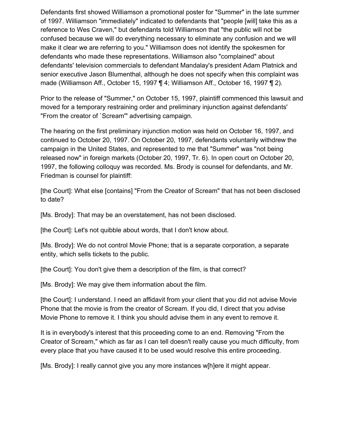Defendants first showed Williamson a promotional poster for "Summer" in the late summer of 1997. Williamson "immediately" indicated to defendants that "people [will] take this as a reference to Wes Craven," but defendants told Williamson that "the public will not be confused because we will do everything necessary to eliminate any confusion and we will make it clear we are referring to you." Williamson does not identify the spokesmen for defendants who made these representations. Williamson also "complained" about defendants' television commercials to defendant Mandalay's president Adam Platnick and senior executive Jason Blumenthal, although he does not specify when this complaint was made (Williamson Aff., October 15, 1997 ¶ 4; Williamson Aff., October 16, 1997 ¶ 2).

Prior to the release of "Summer," on October 15, 1997, plaintiff commenced this lawsuit and moved for a temporary restraining order and preliminary injunction against defendants' "From the creator of `Scream'" advertising campaign.

The hearing on the first preliminary injunction motion was held on October 16, 1997, and continued to October 20, 1997. On October 20, 1997, defendants voluntarily withdrew the campaign in the United States, and represented to me that "Summer" was "not being released now" in foreign markets (October 20, 1997, Tr. 6). In open court on October 20, 1997, the following colloquy was recorded. Ms. Brody is counsel for defendants, and Mr. Friedman is counsel for plaintiff:

[the Court]: What else [contains] "From the Creator of Scream" that has not been disclosed to date?

[Ms. Brody]: That may be an overstatement, has not been disclosed.

[the Court]: Let's not quibble about words, that I don't know about.

[Ms. Brody]: We do not control Movie Phone; that is a separate corporation, a separate entity, which sells tickets to the public.

[the Court]: You don't give them a description of the film, is that correct?

[Ms. Brody]: We may give them information about the film.

[the Court]: I understand. I need an affidavit from your client that you did not advise Movie Phone that the movie is from the creator of Scream. If you did, I direct that you advise Movie Phone to remove it. I think you should advise them in any event to remove it.

It is in everybody's interest that this proceeding come to an end. Removing "From the Creator of Scream," which as far as I can tell doesn't really cause you much difficulty, from every place that you have caused it to be used would resolve this entire proceeding.

[Ms. Brody]: I really cannot give you any more instances w[h]ere it might appear.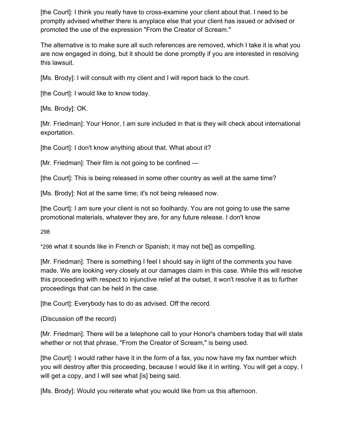[the Court]: I think you really have to cross-examine your client about that. I need to be promptly advised whether there is anyplace else that your client has issued or advised or promoted the use of the expression "From the Creator of Scream."

The alternative is to make sure all such references are removed, which I take it is what you are now engaged in doing, but it should be done promptly if you are interested in resolving this lawsuit.

[Ms. Brody]: I will consult with my client and I will report back to the court.

[the Court]: I would like to know today.

[Ms. Brody]: OK.

[Mr. Friedman]: Your Honor, I am sure included in that is they will check about international exportation.

[the Court]: I don't know anything about that. What about it?

[Mr. Friedman]: Their film is not going to be confined —

[the Court]: This is being released in some other country as well at the same time?

[Ms. Brody]: Not at the same time; it's not being released now.

[the Court]: I am sure your client is not so foolhardy. You are not going to use the same promotional materials, whatever they are, for any future release. I don't know

29[8](https://scholar.google.com/scholar_case?case=10701148277872739929&q=miramax&hl=en&as_sdt=6,33#p298)

\*298 what it sounds like in French or Spanish; it may not be[] as compelling.

[Mr. Friedman]: There is something I feel I should say in light of the comments you have made. We are looking very closely at our damages claim in this case. While this will resolve this proceeding with respect to injunctive relief at the outset, it won't resolve it as to further proceedings that can be held in the case.

[the Court]: Everybody has to do as advised. Off the record.

(Discussion off the record)

[Mr. Friedman]: There will be a telephone call to your Honor's chambers today that will state whether or not that phrase, "From the Creator of Scream," is being used.

[the Court]: I would rather have it in the form of a fax, you now have my fax number which you will destroy after this proceeding, because I would like it in writing. You will get a copy, I will get a copy, and I will see what [is] being said.

[Ms. Brody]: Would you reiterate what you would like from us this afternoon.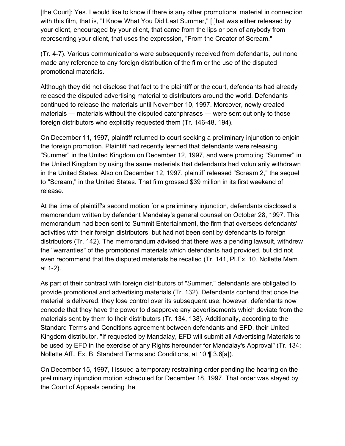[the Court]: Yes. I would like to know if there is any other promotional material in connection with this film, that is, "I Know What You Did Last Summer," [t]hat was either released by your client, encouraged by your client, that came from the lips or pen of anybody from representing your client, that uses the expression, "From the Creator of Scream."

(Tr. 4-7). Various communications were subsequently received from defendants, but none made any reference to any foreign distribution of the film or the use of the disputed promotional materials.

Although they did not disclose that fact to the plaintiff or the court, defendants had already released the disputed advertising material to distributors around the world. Defendants continued to release the materials until November 10, 1997. Moreover, newly created materials — materials without the disputed catchphrases — were sent out only to those foreign distributors who explicitly requested them (Tr. 146-48, 194).

On December 11, 1997, plaintiff returned to court seeking a preliminary injunction to enjoin the foreign promotion. Plaintiff had recently learned that defendants were releasing "Summer" in the United Kingdom on December 12, 1997, and were promoting "Summer" in the United Kingdom by using the same materials that defendants had voluntarily withdrawn in the United States. Also on December 12, 1997, plaintiff released "Scream 2," the sequel to "Scream," in the United States. That film grossed \$39 million in its first weekend of release.

At the time of plaintiff's second motion for a preliminary injunction, defendants disclosed a memorandum written by defendant Mandalay's general counsel on October 28, 1997. This memorandum had been sent to Summit Entertainment, the firm that oversees defendants' activities with their foreign distributors, but had not been sent by defendants to foreign distributors (Tr. 142). The memorandum advised that there was a pending lawsuit, withdrew the "warranties" of the promotional materials which defendants had provided, but did not even recommend that the disputed materials be recalled (Tr. 141, Pl.Ex. 10, Nollette Mem. at 1-2).

As part of their contract with foreign distributors of "Summer," defendants are obligated to provide promotional and advertising materials (Tr. 132). Defendants contend that once the material is delivered, they lose control over its subsequent use; however, defendants now concede that they have the power to disapprove any advertisements which deviate from the materials sent by them to their distributors (Tr. 134, 138). Additionally, according to the Standard Terms and Conditions agreement between defendants and EFD, their United Kingdom distributor, "If requested by Mandalay, EFD will submit all Advertising Materials to be used by EFD in the exercise of any Rights hereunder for Mandalay's Approval" (Tr. 134; Nollette Aff., Ex. B, Standard Terms and Conditions, at 10 ¶ 3.6[a]).

On December 15, 1997, I issued a temporary restraining order pending the hearing on the preliminary injunction motion scheduled for December 18, 1997. That order was stayed by the Court of Appeals pending the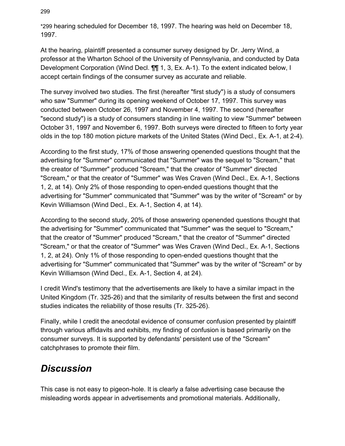\*299 hearing scheduled for December 18, 1997. The hearing was held on December 18, 1997.

At the hearing, plaintiff presented a consumer survey designed by Dr. Jerry Wind, a professor at the Wharton School of the University of Pennsylvania, and conducted by Data Development Corporation (Wind Decl. ¶¶ 1, 3, Ex. A-1). To the extent indicated below, I accept certain findings of the consumer survey as accurate and reliable.

The survey involved two studies. The first (hereafter "first study") is a study of consumers who saw "Summer" during its opening weekend of October 17, 1997. This survey was conducted between October 26, 1997 and November 4, 1997. The second (hereafter "second study") is a study of consumers standing in line waiting to view "Summer" between October 31, 1997 and November 6, 1997. Both surveys were directed to fifteen to forty year olds in the top 180 motion picture markets of the United States (Wind Decl., Ex. A-1, at 2-4).

According to the first study, 17% of those answering openended questions thought that the advertising for "Summer" communicated that "Summer" was the sequel to "Scream," that the creator of "Summer" produced "Scream," that the creator of "Summer" directed "Scream," or that the creator of "Summer" was Wes Craven (Wind Decl., Ex. A-1, Sections 1, 2, at 14). Only 2% of those responding to open-ended questions thought that the advertising for "Summer" communicated that "Summer" was by the writer of "Scream" or by Kevin Williamson (Wind Decl., Ex. A-1, Section 4, at 14).

According to the second study, 20% of those answering openended questions thought that the advertising for "Summer" communicated that "Summer" was the sequel to "Scream," that the creator of "Summer" produced "Scream," that the creator of "Summer" directed "Scream," or that the creator of "Summer" was Wes Craven (Wind Decl., Ex. A-1, Sections 1, 2, at 24). Only 1% of those responding to open-ended questions thought that the advertising for "Summer" communicated that "Summer" was by the writer of "Scream" or by Kevin Williamson (Wind Decl., Ex. A-1, Section 4, at 24).

I credit Wind's testimony that the advertisements are likely to have a similar impact in the United Kingdom (Tr. 325-26) and that the similarity of results between the first and second studies indicates the reliability of those results (Tr. 325-26).

Finally, while I credit the anecdotal evidence of consumer confusion presented by plaintiff through various affidavits and exhibits, my finding of confusion is based primarily on the consumer surveys. It is supported by defendants' persistent use of the "Scream" catchphrases to promote their film.

# *Discussion*

This case is not easy to pigeon-hole. It is clearly a false advertising case because the misleading words appear in advertisements and promotional materials. Additionally,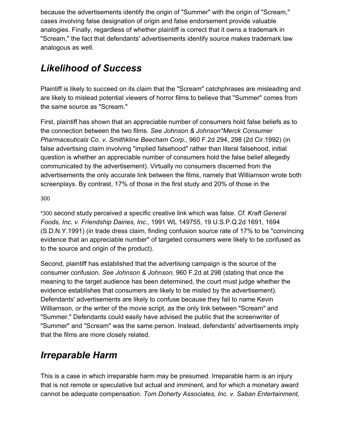because the advertisements identify the origin of "Summer" with the origin of "Scream," cases involving false designation of origin and false endorsement provide valuable analogies. Finally, regardless of whether plaintiff is correct that it owns a trademark in "Scream," the fact that defendants' advertisements identify source makes trademark law analogous as well.

# *Likelihood of Success*

Plaintiff is likely to succeed on its claim that the "Scream" catchphrases are misleading and are likely to mislead potential viewers of horror films to believe that "Summer" comes from the same source as "Scream."

First, plaintiff has shown that an appreciable number of consumers hold false beliefs as to the connection between the two films. *See Johnson & Johnson\*Merck Consumer Pharmaceuticals Co. v. Smithkline Beecham Corp.,* 960 F.2d 294, 298 (2d Cir.1992) (in false advertising claim involving "implied falsehood" rather than literal falsehood, initial question is whether an appreciable number of consumers hold the false belief allegedly communicated by the advertisement). Virtually no consumers discerned from the advertisements the only accurate link between the films, namely that Williamson wrote both screenplays. By contrast, 17% of those in the first study and 20% of those in the

### 30[0](https://scholar.google.com/scholar_case?case=10701148277872739929&q=miramax&hl=en&as_sdt=6,33#p300)

\*300 second study perceived a specific creative link which was false. *Cf. Kraft General Foods, Inc. v. Friendship Dairies, Inc.,* 1991 WL 149755, 19 U.S.P.Q.2d 1691, 1694 (S.D.N.Y.1991) (in trade dress claim, finding confusion source rate of 17% to be "convincing evidence that an appreciable number" of targeted consumers were likely to be confused as to the source and origin of the product).

Second, plaintiff has established that the advertising campaign is the source of the consumer confusion. *See Johnson & Johnson,* 960 F.2d at 298 (stating that once the meaning to the target audience has been determined, the court must judge whether the evidence establishes that consumers are likely to be misled by the advertisement). Defendants' advertisements are likely to confuse because they fail to name Kevin Williamson, or the writer of the movie script, as the only link between "Scream" and "Summer." Defendants could easily have advised the public that the screenwriter of "Summer" and "Scream" was the same person. Instead, defendants' advertisements imply that the films are more closely related.

# *Irreparable Harm*

This is a case in which irreparable harm may be presumed. Irreparable harm is an injury that is not remote or speculative but actual and imminent, and for which a monetary award cannot be adequate compensation. *Tom Doherty Associates, Inc. v. Saban Entertainment,*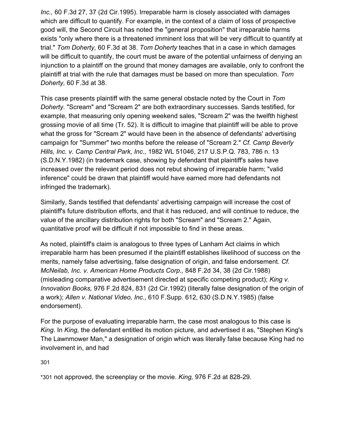*Inc.,* 60 F.3d 27, 37 (2d Cir.1995). Irreparable harm is closely associated with damages which are difficult to quantify. For example, in the context of a claim of loss of prospective good will, the Second Circuit has noted the "general proposition" that irreparable harms exists "only where there is a threatened imminent loss that will be very difficult to quantify at trial." *Tom Doherty,* 60 F.3d at 38. *Tom Doherty* teaches that in a case in which damages will be difficult to quantify, the court must be aware of the potential unfairness of denying an injunction to a plaintiff on the ground that money damages are available, only to confront the plaintiff at trial with the rule that damages must be based on more than speculation. *Tom Doherty,* 60 F.3d at 38.

This case presents plaintiff with the same general obstacle noted by the Court in *Tom Doherty.* "Scream" and "Scream 2" are both extraordinary successes. Sands testified, for example, that measuring only opening weekend sales, "Scream 2" was the twelfth highest grossing movie of all time (Tr. 52). It is difficult to imagine that plaintiff will be able to prove what the gross for "Scream 2" would have been in the absence of defendants' advertising campaign for "Summer" two months before the release of "Scream 2." *Cf. Camp Beverly Hills, Inc. v. Camp Central Park, Inc.,* 1982 WL 51046, 217 U.S.P.Q. 783, 786 n. 13 (S.D.N.Y.1982) (in trademark case, showing by defendant that plaintiff's sales have increased over the relevant period does not rebut showing of irreparable harm; "valid inference" could be drawn that plaintiff would have earned more had defendants not infringed the trademark).

Similarly, Sands testified that defendants' advertising campaign will increase the cost of plaintiff's future distribution efforts, and that it has reduced, and will continue to reduce, the value of the ancillary distribution rights for both "Scream" and "Scream 2." Again, quantitative proof will be difficult if not impossible to find in these areas.

As noted, plaintiff's claim is analogous to three types of Lanham Act claims in which irreparable harm has been presumed if the plaintiff establishes likelihood of success on the merits, namely false advertising, false designation of origin, and false endorsement. *Cf. McNeilab, Inc. v. American Home Products Corp.,* 848 F.2d 34, 38 (2d Cir.1988) (misleading comparative advertisement directed at specific competing product); *King v. Innovation Books,* 976 F.2d 824, 831 (2d Cir.1992) (literally false designation of the origin of a work); *Allen v. National Video, Inc.,* 610 F.Supp. 612, 630 (S.D.N.Y.1985) (false endorsement).

For the purpose of evaluating irreparable harm, the case most analogous to this case is *King.* In *King,* the defendant entitled its motion picture, and advertised it as, "Stephen King's The Lawnmower Man," a designation of origin which was literally false because King had no involvement in, and had

30[1](https://scholar.google.com/scholar_case?case=10701148277872739929&q=miramax&hl=en&as_sdt=6,33#p301)

\*301 not approved, the screenplay or the movie. *King,* 976 F.2d at 828-29.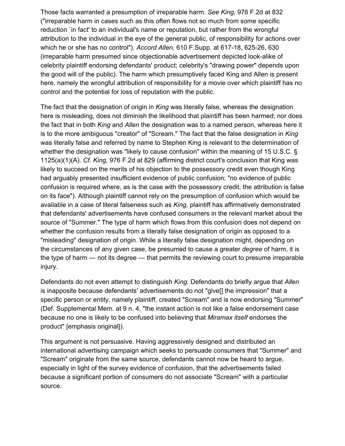Those facts warranted a presumption of irreparable harm. *See King,* 976 F.2d at 832 ("irreparable harm in cases such as this often flows not so much from some specific reduction `in fact' to an individual's name or reputation, but rather from the wrongful attribution to the individual in the eye of the general public, of responsibility for actions over which he or she has no control"). *Accord Allen,* 610 F.Supp. at 617-18, 625-26, 630 (irreparable harm presumed since objectionable advertisement depicted look-alike of celebrity plaintiff endorsing defendants' product; celebrity's "drawing power" depends upon the good will of the public). The harm which presumptively faced King and Allen is present here, namely the wrongful attribution of responsibility for a movie over which plaintiff has no control and the potential for loss of reputation with the public.

The fact that the designation of origin in *King* was literally false, whereas the designation here is misleading, does not diminish the likelihood that plaintiff has been harmed; nor does the fact that in both *King* and *Allen* the designation was to a named person, whereas here it is to the more ambiguous "creator" of "Scream." The fact that the false designation in *King* was literally false and referred by name to Stephen King is relevant to the determination of whether the designation was "likely to cause confusion" within the meaning of 15 U.S.C. § 1125(a)(1)(A). *Cf. King,* 976 F.2d at 829 (affirming district court's conclusion that King was likely to succeed on the merits of his objection to the possessory credit even though King had arguably presented insufficient evidence of public confusion; "no evidence of public confusion is required where, as is the case with the possessory credit, the attribution is false on its face"). Although plaintiff cannot rely on the presumption of confusion which would be available in a case of literal falseness such as *King,* plaintiff has affirmatively demonstrated that defendants' advertisements have confused consumers in the relevant market about the source of "Summer." The type of harm which flows from this confusion does not depend on whether the confusion results from a literally false designation of origin as opposed to a "misleading" designation of origin. While a literally false designation might, depending on the circumstances of any given case, be presumed to cause a greater *degree* of harm, it is the type of harm — not its degree — that permits the reviewing court to presume irreparable injury.

Defendants do not even attempt to distinguish *King.* Defendants do briefly argue that *Allen* is inapposite because defendants' advertisements do not "give[] the impression" that a specific person or entity, namely plaintiff, created "Scream" and is now endorsing "Summer" (Def. Supplemental Mem. at 9 n. 4, "the instant action is not like a false endorsement case because no one is likely to be confused into believing that *Miramax itself* endorses the product" [emphasis original]).

This argument is not persuasive. Having aggressively designed and distributed an international advertising campaign which seeks to persuade consumers that "Summer" and "Scream" originate from the same source, defendants cannot now be heard to argue, especially in light of the survey evidence of confusion, that the advertisements failed because a significant portion of consumers do not associate "Scream" with a particular source.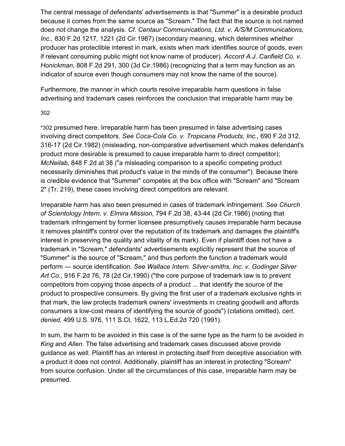The central message of defendants' advertisements is that "Summer" is a desirable product because it comes from the same source as "Scream." The fact that the source is not named does not change the analysis. *Cf. Centaur Communications, Ltd. v. A/S/M Communications, Inc.,* 830 F.2d 1217, 1221 (2d Cir.1987) (secondary meaning, which determines whether producer has protectible interest in mark, exists when mark identifies source of goods, even if relevant consuming public might not know name of producer). *Accord A.J. Canfield Co. v. Honickman,* 808 F.2d 291, 300 (3d Cir.1986) (recognizing that a term may function as an indicator of source even though consumers may not know the name of the source).

Furthermore, the manner in which courts resolve irreparable harm questions in false advertising and trademark cases reinforces the conclusion that irreparable harm may be

#### 30[2](https://scholar.google.com/scholar_case?case=10701148277872739929&q=miramax&hl=en&as_sdt=6,33#p302)

\*302 presumed here. Irreparable harm has been presumed in false advertising cases involving direct competitors. *See Coca-Cola Co. v. Tropicana Products, Inc.,* 690 F.2d 312, 316-17 (2d Cir.1982) (misleading, non-comparative advertisement which makes defendant's product more desirable is presumed to cause irreparable harm to direct competitor); *McNeilab,* 848 F.2d at 38 ("a misleading comparison to a specific competing product necessarily diminishes that product's value in the minds of the consumer"). Because there is credible evidence that "Summer" competes at the box office with "Scream" and "Scream 2" (Tr. 219), these cases involving direct competitors are relevant.

Irreparable harm has also been presumed in cases of trademark infringement. *See Church of Scientology Intern. v. Elmira Mission,* 794 F.2d 38, 43-44 (2d Cir.1986) (noting that trademark infringement by former licensee presumptively causes irreparable harm because it removes plaintiff's control over the reputation of its trademark and damages the plaintiff's interest in preserving the quality and vitality of its mark). Even if plaintiff does not have a trademark in "Scream," defendants' advertisements explicitly represent that the source of "Summer" is the source of "Scream," and thus perform the function a trademark would perform — source identification. *See Wallace Intern. Silver-smiths, Inc. v. Godinger Silver Art Co.,* 916 F.2d 76, 78 (2d Cir.1990) ("the core purpose of trademark law is to prevent competitors from copying those aspects of a product ... that identify the source of the product to prospective consumers. By giving the first user of a trademark exclusive rights in that mark, the law protects trademark owners' investments in creating goodwill and affords consumers a low-cost means of identifying the source of goods") (citations omitted), *cert. denied,* 499 U.S. 976, 111 S.Ct. 1622, 113 L.Ed.2d 720 (1991).

In sum, the harm to be avoided in this case is of the same type as the harm to be avoided in *King* and *Allen.* The false advertising and trademark cases discussed above provide guidance as well. Plaintiff has an interest in protecting itself from deceptive association with a product it does not control. Additionally, plaintiff has an interest in protecting "Scream" from source confusion. Under all the circumstances of this case, irreparable harm may be presumed.